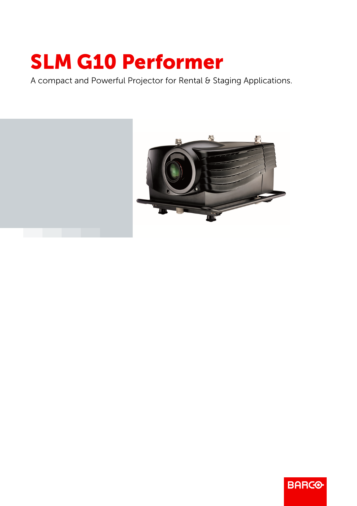## SLM G10 Performer

A compact and Powerful Projector for Rental & Staging Applications.